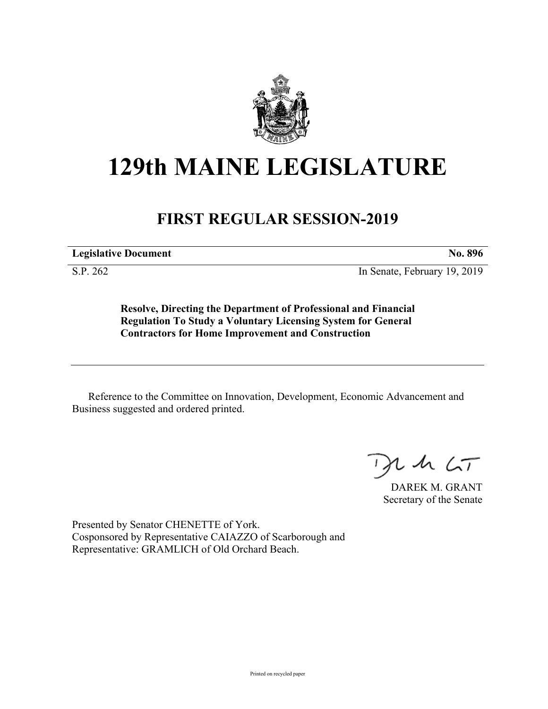

## **129th MAINE LEGISLATURE**

## **FIRST REGULAR SESSION-2019**

**Legislative Document No. 896**

S.P. 262 In Senate, February 19, 2019

**Resolve, Directing the Department of Professional and Financial Regulation To Study a Voluntary Licensing System for General Contractors for Home Improvement and Construction**

Reference to the Committee on Innovation, Development, Economic Advancement and Business suggested and ordered printed.

 $2.42 < \tau$ 

DAREK M. GRANT Secretary of the Senate

Presented by Senator CHENETTE of York. Cosponsored by Representative CAIAZZO of Scarborough and Representative: GRAMLICH of Old Orchard Beach.